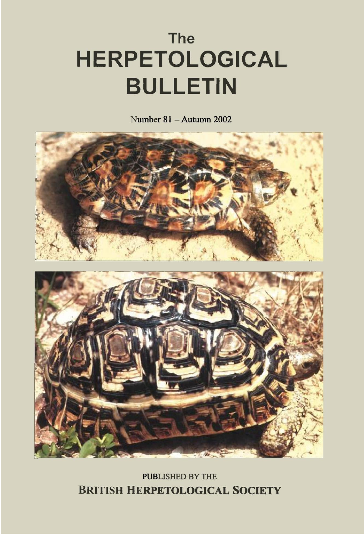# **The HERPETOLOGICAL BULLETIN**

Number  $81 -$ Autumn 2002



**PUBLISHED BY THE BRITISH HERPETOLOGICAL SOCIETY**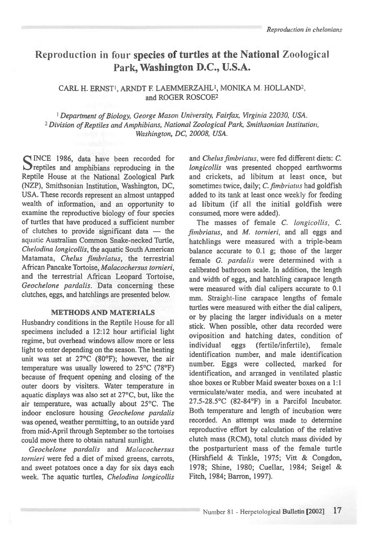# **Reproduction in four species of turtles at the National Zoological Park, Washington D.C., U.S.A.**

#### CARL H. ERNST<sup>1</sup>, ARNDT F. LAEMMERZAHL<sup>1</sup>, MONIKA M. HOLLAND<sup>2</sup>, and ROGER ROSCOE2

*Department of Biology, George Mason University, Fairfax, Virginia 22030, USA.*  <sup>2</sup>*Division of Reptiles and Amphibians, National Zoological Park, Smithsonian Institution, Washington, DC, 20008, USA.* 

SINCE 1986, data have been recorded for<br>Septiles and amphibians reproducing in the INCE 1986, data have been recorded for Reptile House at the National Zoological Park (NZP), Smithsonian Institution, Washington, DC, USA. These records represent an almost untapped wealth of information, and an opportunity to examine the reproductive biology of four species of turtles that have produced a sufficient number of clutches to provide significant data — the aquatic Australian Common Snake-necked Turtle, *Chelodina longicollis,* the aquatic South American Matamata, *Chelus fimbriatus,* the terrestrial African Pancake Tortoise, *Malacochersus tornieri,*  and the terrestrial African Leopard Tortoise, *Geochelone pardalis.* Data concerning these clutches, eggs, and hatchlings are presented below.

#### **METHODS AND MATERIALS**

Husbandry conditions in the Reptile House for all specimens included a 12:12 hour artificial light regime, but overhead windows allow more or less light to enter depending on the season. The heating unit was set at 27°C (80°F); however, the air temperature was usually lowered to 25°C (78°F) because of frequent opening and closing of the outer doors by visiters. Water temperature in aquatic displays was also set at 27°C, but, like the air temperature, was actually about 25°C. The indoor enclosure housing *Geochelone pardalis*  was opened, weather permitting, to an outside yard from mid-April through September so the tortoises could move there to obtain natural sunlight.

*Geochelone pardalis* and *Malacochersus tornieri* were fed a diet of mixed greens, carrots, and sweet potatoes once a day for six days each week. The aquatic turtles, *Chelodina longicollis*  and *Chelus fimbriatus,* were fed different diets: *C. longicollis* was presented chopped earthworms and crickets, ad libitum at least once, but sometimes twice, daily; *C. fimbriatus* had goldfish added to its tank at least once weekly for feeding ad libitum (if all the initial goldfish were consumed, more were added).

The masses of female C. *longicollis, C. fimbriatus,* and *M. tornieri,* and all eggs and hatchlings were measured with a triple-beam balance accurate to 0.1 g; those of the larger female *G. pardalis* were determined with a calibrated bathroom scale. In addition, the length and width of eggs, and hatchling carapace length were measured with dial calipers accurate to 0.1 mm. Straight-line carapace lengths of female turtles were measured with either the dial calipers, or by placing the larger individuals on a meter stick. When possible, other data recorded were oviposition and hatching dates, condition of individual eggs (fertile/infertile), female identification number, and male identification number. Eggs were collected, marked for identification, and arranged in ventilated plastic shoe boxes or Rubber Maid sweater boxes on a 1:1 vermiculate/water media, and were incubated at 27.5-28.5°C (82-84°F) in a Parcifol Incubator. Both temperature and length of incubation were recorded. An attempt was made to determine reproductive effort by calculation of the relative clutch mass (RCM), total clutch mass divided by the postparturient mass of the female turtle (Hirshfield & Tinkle, 1975; Vitt & Congdon, 1978; Shine, 1980; Cuellar, 1984; Seigel & Fitch, 1984; Barron, 1997).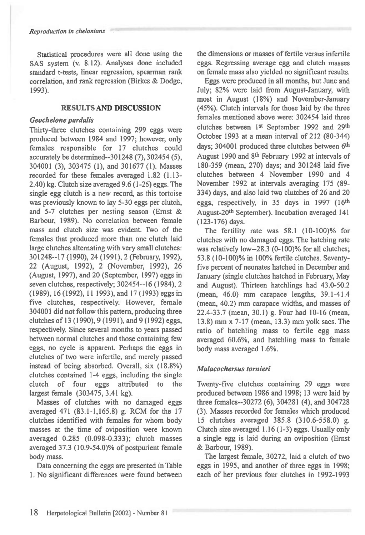Statistical procedures were all done using the SAS system (v. 8.12). Analyses done included standard t-tests, linear regression, spearman rank correlation, and rank regression (Birkes & Dodge, 1993).

#### **RESULTS AND DISCUSSION**

#### *Geochelone pardalis*

Thirty-three clutches containing 299 eggs were produced between 1984 and 1997; however, only females responsible for 17 clutches could accurately be determined--301248 (7), 302454 (5), 304001 (3), 303475 (1), and 301677 (1). Masses recorded for these females averaged 1.82 (1.13- 2.40) kg. Clutch size averaged 9.6 (1-26) eggs. The single egg clutch is a new record, as this tortoise was previously known to lay 5-30 eggs per clutch, and 5-7 clutches per nesting season (Ernst & Barbour, 1989). No correlation between female mass and clutch size was evident. Two of the females that produced more than one clutch laid large clutches alternating with very small clutches: 301248--17 (1990), 24 (1991), 2 (February, 1992), 22 (August, 1992), 2 (November, 1992), 26 (August, 1997), and 20 (September, 1997) eggs in seven clutches, respectively; 302454--16 (1984), 2 (1989), 16 (1992), 11 1993), and 17 (1993) eggs in five clutches, respectively. However, female 304001 did not follow this pattern, producing three clutches of 13 (1990), 9 (1991), and 9 (1992) eggs, respectively. Since several months to years passed between normal clutches and those containing few eggs, no cycle is apparent. Perhaps the eggs in clutches of two were infertile, and merely passed instead of being absorbed. Overall, six (18.8%) clutches contained 1-4 eggs, including the single clutch of four eggs attributed to the largest female (303475, 3.41 kg).

Masses of clutches with no damaged eggs averaged 471 (83.1-1,165.8) g. RCM for the 17 clutches identified with females for whom body masses at the time of oviposition were known averaged 0.285 (0.098-0.333); clutch masses averaged 37.3 (10.9-54.0)% of postpurient female body mass.

Data concerning the eggs are presented in Table 1. No significant differences were found between the dimensions or masses of fertile versus infertile eggs. Regressing average egg and clutch masses on female mass also yielded no significant results.

Eggs were produced in all months, but June and July; 82% were laid from August-January, with most in August (18%) and November-January (45%). Clutch intervals for those laid by the three females mentioned above were: 302454 laid three clutches between 1st September 1992 and 29th October 1993 at a mean interval of 212 (80-344) days; 304001 produced three clutches between 6<sup>th</sup> August 1990 and 8th February 1992 at intervals of 180-359 (mean, 270) days; and 301248 laid five clutches between 4 November 1990 and 4 November 1992 at intervals averaging 175 (89- 334) days, and also laid two clutches of 26 and 20 eggs, respectively, in 35 days in 1997 (16th August-20th September). Incubation averaged 141 (123-176) days.

The fertility rate was 58.1 (10-100)% for clutches with no damaged eggs. The hatching rate was relatively low--28.3 (0-100)% for all clutches; 53.8 (10-100)% in 100% fertile clutches. Seventyfive percent of neonates hatched in December and January (single clutches hatched in February, May and August). Thirteen hatchlings had 43.0-50.2 (mean, 46.0) mm carapace lengths, 39.1-41.4 (mean, 40.2) mm carapace widths, and masses of 22.4-33.7 (mean, 30.1) g. Four had 10-16 (mean, 13.8) mm x 7-17 (mean, 13.3) mm yolk sacs. The ratio of hatchling mass to fertile egg mass averaged 60.6%, and hatchling mass to female body mass averaged 1.6%.

#### *Malacochersus tornieri*

Twenty-five clutches containing 29 eggs were produced between 1986 and 1998; 13 were laid by three females--30272 (6), 304281 (4), and 304728 (3). Masses recorded for females which produced 15 clutches averaged 385.8 (310.6-558.0) g. Clutch size averaged 1.16 (1-3) eggs. Usually only a single egg is laid during an oviposition (Ernst & Barbour, 1989).

The largest female, 30272, laid a clutch of two eggs in 1995, and another of three eggs in 1998; each of her previous four clutches in 1992-1993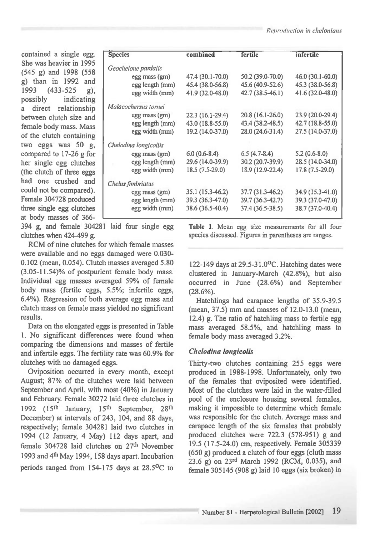contained a single egg. She was heavier in 1995 (545 g) and 1998 (558 g) than in 1992 and 1993 (433-525 g), possibly indicating a direct relationship between clutch size and female body mass. Mass of the clutch containing two eggs was 50 g, compared to 17-26 g for her single egg clutches (the clutch of three eggs had one crushed and could not be compared). Female 304728 produced three single egg clutches at body masses of 366-

| <b>Species</b>        | combined         | fertile          | infertile        |
|-----------------------|------------------|------------------|------------------|
| Geochelone pardalis   |                  |                  |                  |
| egg mass (gm)         | 47.4 (30.1-70.0) | 50.2 (39.0-70.0) | 46.0 (30.1-60.0) |
| egg length (mm)       | 45.4 (38.0-56.8) | 45.6 (40.9-52.6) | 45.3 (38.0-56.8) |
| egg width (mm)        | 41.9 (32.0-48.0) | 42.7 (38.5-46.1) | 41.6 (32.0-48.0) |
| Malacochersus tornei  |                  |                  |                  |
| egg mass (gm)         | 22.3 (16.1-29.4) | 20.8 (16.1-26.0) | 23.9 (20.0-29.4) |
| egg length (mm)       | 43.0 (18.8-55.0) | 43.4 (38.2-48.5) | 42.7 (18.8-55.0) |
| egg width (mm)        | 19.2 (14.0-37.0) | 28.0 (24.6-31.4) | 27.5 (14.0-37.0) |
| Chelodina longicollis |                  |                  |                  |
| egg mass (gm)         | $6.0(0.6-8.4)$   | $6.5(4.7-8.4)$   | $5.2(0.6-8.0)$   |
| egg length (mm)       | 29.6 (14.0-39.9) | 30.2 (20.7-39.9) | 28.5 (14.0-34.0) |
| egg width (mm)        | 18.5 (7.5-29.0)  | 18.9 (12.9-22.4) | 17.8 (7.5-29.0)  |
| Chelus fimbriatus     |                  |                  |                  |
| egg mass (gm)         | 35.1 (15.3-46.2) | 37.7 (31.3-46.2) | 34.9 (15.3-41.0) |
| egg length (mm)       | 39.3 (36.3-47.0) | 39.7 (36.3-42.7) | 39.3 (37.0-47.0) |
| egg width (mm)        | 38.6 (36.5-40.4) | 37.4 (36.5-38.5) | 38.7 (37.0-40.4) |
|                       |                  |                  |                  |

394 g, and female 304281 laid four single egg clutches when 424-499 g.

RCM of nine clutches for which female masses were available and no eggs damaged were 0.030- 0.102 (mean, 0.054). Clutch masses averaged 5.80 (3.05-11.54)% of postpurient female body mass. Individual egg masses averaged 59% of female body mass (fertile eggs, 5.5%; infertile eggs, 6.4%). Regression of both average egg mass and clutch mass on female mass yielded no significant results.

Data on the elongated eggs is presented in Table 1. No significant differences were found when comparing the dimensions and masses of fertile and infertile eggs. The fertility rate was 60.9% for clutches with no damaged eggs.

Oviposition occurred in every month, except August; 87% of the clutches were laid between September and April, with most (40%) in January and February. Female 30272 laid three clutches in 1992 (15<sup>th</sup> January, 15<sup>th</sup> September, 28<sup>th</sup> December) at intervals of 243, 104, and 88 days, respectively; female 304281 laid two clutches in 1994 (12 January, 4 May) 112 days apart, and female 304728 laid clutches on 27th November 1993 and 4th May 1994, 158 days apart. Incubation periods ranged from 154-175 days at 28.5°C to

Table *1.* Mean egg size measurements for all four species discussed. Figures in parentheses are ranges.

122-149 days at 29.5-31.0 $\rm ^{o}C$ . Hatching dates were clustered in January-March (42.8%), but also occurred in June (28.6%) and September (28.6%).

Hatchlings had carapace lengths of 35.9-39.5 (mean, 37.5) mm and masses of 12.0-13.0 (mean, 12.4) g. The ratio of hatchling mass to fertile egg mass averaged 58.5%, and hatchling mass to female body mass averaged 3.2%.

### *Chelodina longicolis*

Thirty-two clutches containing 255 eggs were produced in 1988-1998. Unfortunately, only two of the females that oviposited were identified. Most of the clutches were laid in the water-filled pool of the enclosure housing several females, making it impossible to determine which female was responsible for the clutch. Average mass and carapace length of the six females that probably produced clutches were 722.3 (578-951) g and 19.5 (17.5-24.0) cm, respectively. Female 305339  $(650 \text{ g})$  produced a clutch of four eggs (cluth mass 23.6 g) on 23rd March 1992 (RCM, 0.035), and female 305145 (908 g) laid 10 eggs (six broken) in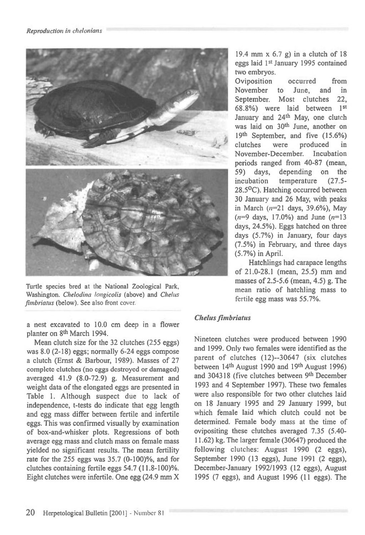

Turtle species bred at the National Zoological Park, Washington. Chelodina longicolis (above) and Chelus fimbriatus (below). See also front cover.

a nest excavated to 10.0 cm deep in a flower planter on 8th March 1994.

Mean clutch size for the 32 clutches (255 eggs) was 8.0 (2-18) eggs; normally 6-24 eggs compose a clutch (Ernst & Barbour, 1989). Masses of 27 complete clutches (no eggs destroyed or damaged) averaged 41.9 (8.0-72.9) g. Measurement and weight data of the elongated eggs are presented in Table 1. Although suspect due to lack of independence, t-tests do indicate that egg length and egg mass differ between fertile and infertile eggs. This was confirmed visually by examination of box-and-whisker plots. Regressions of both average egg mass and clutch mass on female mass yielded no significant results. The mean fertility rate for the 255 eggs was 35.7 (0-100)%, and for clutches containing fertile eggs 54.7 (11.8-100)%. Eight clutches were infertile. One egg (24.9 mm X

19.4 mm  $x$  6.7 g) in a clutch of 18 eggs laid 1st January 1995 contained two embryos.

Oviposition occurred from November to June, and in September. Most clutches 22, 68.8%) were laid between 1st January and 24<sup>th</sup> May, one clutch was laid on 30<sup>th</sup> June, another on 19th September, and five (15.6%) clutches were produced in November-December. Incubation periods ranged from 40-87 (mean, 59) days, depending on the incubation temperature (27.5- 28.5°C). Hatching occurred between 30 January and 26 May, with peaks in March  $(n=21$  days, 39.6%), May  $(n=9 \text{ days}, 17.0\%)$  and June  $(n=13$ days, 24.5%). Eggs hatched on three days (5.7%) in January, four days (7.5%) in February, and three days (5.7%) in April.

Hatchlings had carapace lengths of 21.0-28.1 (mean, 25.5) mm and masses of 2.5-5.6 (mean, 4.5) g. The mean ratio of hatchling mass to fertile egg mass was 55.7%.

## *Chelus fimbriatus*

Nineteen clutches were produced between 1990 and 1999. Only two females were identified as the parent of clutches (12)--30647 (six clutches between 14th August 1990 and 19th August 1996) and 304318 (five clutches between 9th December 1993 and 4 September 1997). These two females were also responsible for two other clutches laid on 18 January 1995 and 29 January 1999, but which female laid which clutch could not be determined. Female body mass at the time of ovipositing these clutches averaged 7.35 (5.40- 11.62) kg. The larger female (30647) produced the following clutches: August 1990 (2 eggs), September 1990 (13 eggs), June 1991 (2 eggs), December-January 1992/1993 (12 eggs), August 1995 (7 eggs), and August 1996 (11 eggs). The